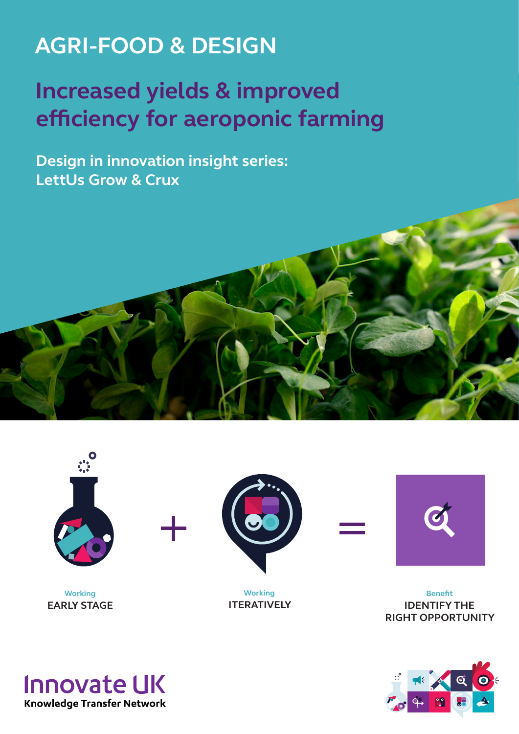## **AGRI-FOOD & DESIGN**

# **Increased yields & improved efficiency for aeroponic farming**

**Design in innovation insight series: LettUs Grow & Crux**





**Working EARLY STAGE**



**Working ITERATIVELY**



**Benefit IDENTIFY THE RIGHT OPPORTUNITY**